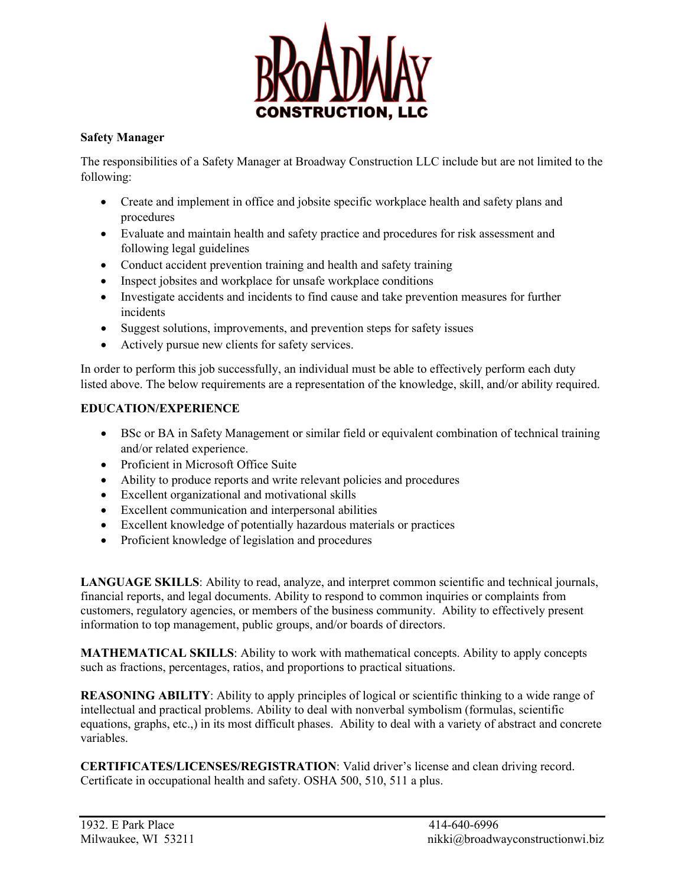

## **Safety Manager**

The responsibilities of a Safety Manager at Broadway Construction LLC include but are not limited to the following:

- Create and implement in office and jobsite specific workplace health and safety plans and procedures
- Evaluate and maintain health and safety practice and procedures for risk assessment and following legal guidelines
- Conduct accident prevention training and health and safety training
- Inspect jobsites and workplace for unsafe workplace conditions
- Investigate accidents and incidents to find cause and take prevention measures for further incidents
- Suggest solutions, improvements, and prevention steps for safety issues
- Actively pursue new clients for safety services.

In order to perform this job successfully, an individual must be able to effectively perform each duty listed above. The below requirements are a representation of the knowledge, skill, and/or ability required.

## **EDUCATION/EXPERIENCE**

- BSc or BA in Safety Management or similar field or equivalent combination of technical training and/or related experience.
- Proficient in Microsoft Office Suite
- Ability to produce reports and write relevant policies and procedures
- Excellent organizational and motivational skills
- Excellent communication and interpersonal abilities
- Excellent knowledge of potentially hazardous materials or practices
- Proficient knowledge of legislation and procedures

**LANGUAGE SKILLS**: Ability to read, analyze, and interpret common scientific and technical journals, financial reports, and legal documents. Ability to respond to common inquiries or complaints from customers, regulatory agencies, or members of the business community. Ability to effectively present information to top management, public groups, and/or boards of directors.

**MATHEMATICAL SKILLS**: Ability to work with mathematical concepts. Ability to apply concepts such as fractions, percentages, ratios, and proportions to practical situations.

**REASONING ABILITY**: Ability to apply principles of logical or scientific thinking to a wide range of intellectual and practical problems. Ability to deal with nonverbal symbolism (formulas, scientific equations, graphs, etc.,) in its most difficult phases. Ability to deal with a variety of abstract and concrete variables.

**CERTIFICATES/LICENSES/REGISTRATION**: Valid driver's license and clean driving record. Certificate in occupational health and safety. OSHA 500, 510, 511 a plus.